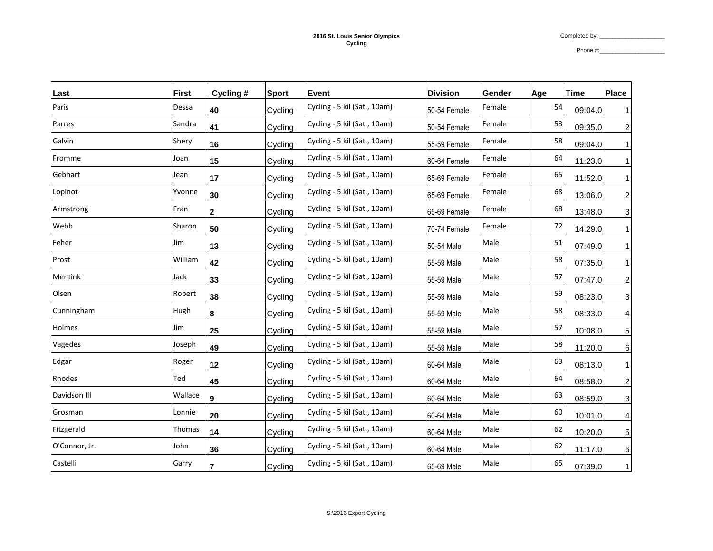Phone #:\_\_\_\_\_\_\_\_\_\_\_\_\_\_\_\_\_\_\_\_

| Last          | <b>First</b> | Cycling #      | <b>Sport</b> | <b>Event</b>                 | <b>Division</b> | Gender | Age | <b>Time</b> | <b>Place</b>   |
|---------------|--------------|----------------|--------------|------------------------------|-----------------|--------|-----|-------------|----------------|
| Paris         | Dessa        | 40             | Cycling      | Cycling - 5 kil (Sat., 10am) | 50-54 Female    | Female | 54  | 09:04.0     |                |
| Parres        | Sandra       | 41             | Cycling      | Cycling - 5 kil (Sat., 10am) | 50-54 Female    | Female | 53  | 09:35.0     | $\overline{c}$ |
| Galvin        | Sheryl       | 16             | Cycling      | Cycling - 5 kil (Sat., 10am) | 55-59 Female    | Female | 58  | 09:04.0     |                |
| Fromme        | Joan         | 15             | Cycling      | Cycling - 5 kil (Sat., 10am) | 60-64 Female    | Female | 64  | 11:23.0     |                |
| Gebhart       | Jean         | 17             | Cycling      | Cycling - 5 kil (Sat., 10am) | 65-69 Female    | Female | 65  | 11:52.0     | 1              |
| Lopinot       | Yvonne       | 30             | Cycling      | Cycling - 5 kil (Sat., 10am) | 65-69 Female    | Female | 68  | 13:06.0     | $\overline{c}$ |
| Armstrong     | Fran         | $\overline{2}$ | Cycling      | Cycling - 5 kil (Sat., 10am) | 65-69 Female    | Female | 68  | 13:48.0     | 3              |
| Webb          | Sharon       | 50             | Cycling      | Cycling - 5 kil (Sat., 10am) | 70-74 Female    | Female | 72  | 14:29.0     | 1              |
| Feher         | Jim          | 13             | Cycling      | Cycling - 5 kil (Sat., 10am) | 50-54 Male      | Male   | 51  | 07:49.0     |                |
| Prost         | William      | 42             | Cycling      | Cycling - 5 kil (Sat., 10am) | 55-59 Male      | Male   | 58  | 07:35.0     |                |
| Mentink       | Jack         | 33             | Cycling      | Cycling - 5 kil (Sat., 10am) | 55-59 Male      | Male   | 57  | 07:47.0     | $\overline{c}$ |
| Olsen         | Robert       | 38             | Cycling      | Cycling - 5 kil (Sat., 10am) | 55-59 Male      | Male   | 59  | 08:23.0     | 3              |
| Cunningham    | Hugh         | 8              | Cycling      | Cycling - 5 kil (Sat., 10am) | 55-59 Male      | Male   | 58  | 08:33.0     | 4              |
| Holmes        | Jim          | 25             | Cycling      | Cycling - 5 kil (Sat., 10am) | 55-59 Male      | Male   | 57  | 10:08.0     | 5              |
| Vagedes       | Joseph       | 49             | Cycling      | Cycling - 5 kil (Sat., 10am) | 55-59 Male      | Male   | 58  | 11:20.0     | 6              |
| Edgar         | Roger        | 12             | Cycling      | Cycling - 5 kil (Sat., 10am) | 60-64 Male      | Male   | 63  | 08:13.0     | $\mathbf{1}$   |
| Rhodes        | Ted          | 45             | Cycling      | Cycling - 5 kil (Sat., 10am) | 60-64 Male      | Male   | 64  | 08:58.0     | $\overline{c}$ |
| Davidson III  | Wallace      | 9              | Cycling      | Cycling - 5 kil (Sat., 10am) | 60-64 Male      | Male   | 63  | 08:59.0     | 3              |
| Grosman       | Lonnie       | 20             | Cycling      | Cycling - 5 kil (Sat., 10am) | 60-64 Male      | Male   | 60  | 10:01.0     | 4              |
| Fitzgerald    | Thomas       | 14             | Cycling      | Cycling - 5 kil (Sat., 10am) | 60-64 Male      | Male   | 62  | 10:20.0     | 5              |
| O'Connor, Jr. | John         | 36             | Cycling      | Cycling - 5 kil (Sat., 10am) | 60-64 Male      | Male   | 62  | 11:17.0     | 6              |
| Castelli      | Garry        | 7              | Cycling      | Cycling - 5 kil (Sat., 10am) | 65-69 Male      | Male   | 65  | 07:39.0     | 1 <sup>1</sup> |